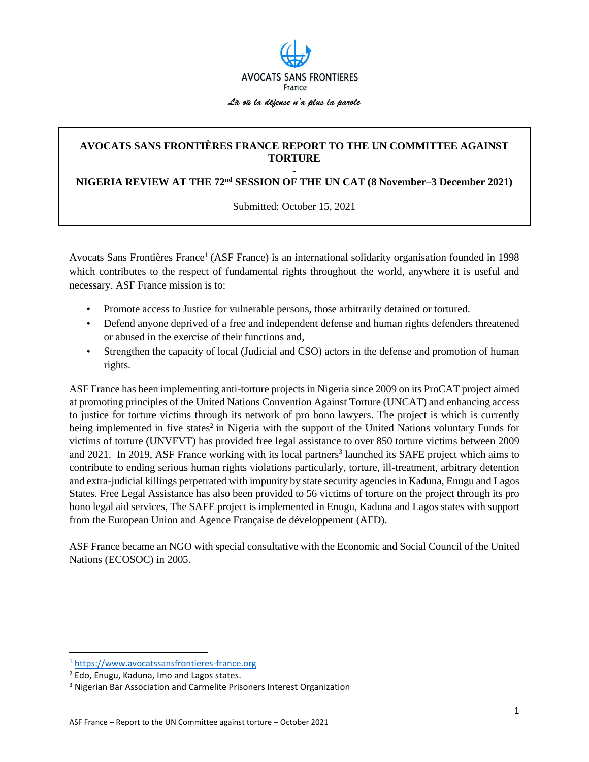

## **AVOCATS SANS FRONTIÈRES FRANCE REPORT TO THE UN COMMITTEE AGAINST TORTURE -**

**NIGERIA REVIEW AT THE 72nd SESSION OF THE UN CAT (8 November–3 December 2021)**

Submitted: October 15, 2021

Avocats Sans Frontières France<sup>1</sup> (ASF France) is an international solidarity organisation founded in 1998 which contributes to the respect of fundamental rights throughout the world, anywhere it is useful and necessary. ASF France mission is to:

- Promote access to Justice for vulnerable persons, those arbitrarily detained or tortured.
- Defend anyone deprived of a free and independent defense and human rights defenders threatened or abused in the exercise of their functions and,
- Strengthen the capacity of local (Judicial and CSO) actors in the defense and promotion of human rights.

ASF France has been implementing anti-torture projects in Nigeria since 2009 on its ProCAT project aimed at promoting principles of the United Nations Convention Against Torture (UNCAT) and enhancing access to justice for torture victims through its network of pro bono lawyers. The project is which is currently being implemented in five states<sup>2</sup> in Nigeria with the support of the United Nations voluntary Funds for victims of torture (UNVFVT) has provided free legal assistance to over 850 torture victims between 2009 and 2021. In 2019, ASF France working with its local partners<sup>3</sup> launched its SAFE project which aims to contribute to ending serious human rights violations particularly, torture, ill-treatment, arbitrary detention and extra-judicial killings perpetrated with impunity by state security agencies in Kaduna, Enugu and Lagos States. Free Legal Assistance has also been provided to 56 victims of torture on the project through its pro bono legal aid services, The SAFE project is implemented in Enugu, Kaduna and Lagos states with support from the European Union and Agence Française de développement (AFD).

ASF France became an NGO with special consultative with the Economic and Social Council of the United Nations (ECOSOC) in 2005.

<sup>1</sup> [https://www.avocatssansfrontieres-france.org](https://www.avocatssansfrontieres-france.org/)

<sup>2</sup> Edo, Enugu, Kaduna, Imo and Lagos states.

<sup>&</sup>lt;sup>3</sup> Nigerian Bar Association and Carmelite Prisoners Interest Organization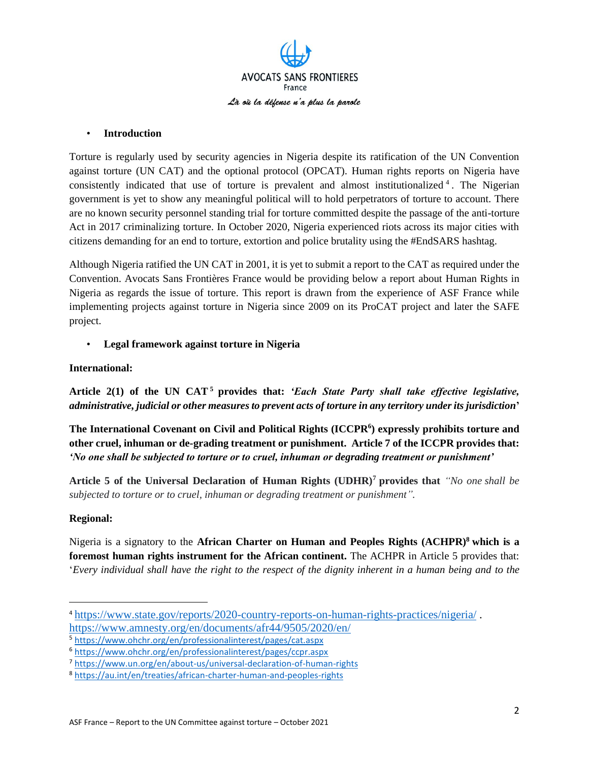

### • **Introduction**

Torture is regularly used by security agencies in Nigeria despite its ratification of the UN Convention against torture (UN CAT) and the optional protocol (OPCAT). Human rights reports on Nigeria have consistently indicated that use of torture is prevalent and almost institutionalized<sup>4</sup>. The Nigerian government is yet to show any meaningful political will to hold perpetrators of torture to account. There are no known security personnel standing trial for torture committed despite the passage of the anti-torture Act in 2017 criminalizing torture. In October 2020, Nigeria experienced riots across its major cities with citizens demanding for an end to torture, extortion and police brutality using the #EndSARS hashtag.

Although Nigeria ratified the UN CAT in 2001, it is yet to submit a report to the CAT as required under the Convention. Avocats Sans Frontières France would be providing below a report about Human Rights in Nigeria as regards the issue of torture. This report is drawn from the experience of ASF France while implementing projects against torture in Nigeria since 2009 on its ProCAT project and later the SAFE project.

• **Legal framework against torture in Nigeria**

## **International:**

**Article 2(1) of the UN CAT <sup>5</sup> provides that:** *'Each State Party shall take effective legislative, administrative, judicial or other measures to prevent acts of torture in any territory under its jurisdiction***'**

**The International Covenant on Civil and Political Rights (ICCPR<sup>6</sup> ) expressly prohibits torture and other cruel, inhuman or de-grading treatment or punishment. Article 7 of the ICCPR provides that:** *'No one shall be subjected to torture or to cruel, inhuman or degrading treatment or punishment'*

**Article 5 of the Universal Declaration of Human Rights (UDHR)<sup>7</sup> provides that** *"No one shall be subjected to torture or to cruel, inhuman or degrading treatment or punishment".*

## **Regional:**

Nigeria is a signatory to the **African Charter on Human and Peoples Rights (ACHPR)<sup>8</sup> which is a foremost human rights instrument for the African continent.** The ACHPR in Article 5 provides that: '*Every individual shall have the right to the respect of the dignity inherent in a human being and to the*

<sup>4</sup> <https://www.state.gov/reports/2020-country-reports-on-human-rights-practices/nigeria/> . <https://www.amnesty.org/en/documents/afr44/9505/2020/en/>

<sup>5</sup> <https://www.ohchr.org/en/professionalinterest/pages/cat.aspx>

<sup>6</sup> <https://www.ohchr.org/en/professionalinterest/pages/ccpr.aspx>

<sup>7</sup> <https://www.un.org/en/about-us/universal-declaration-of-human-rights>

<sup>8</sup> <https://au.int/en/treaties/african-charter-human-and-peoples-rights>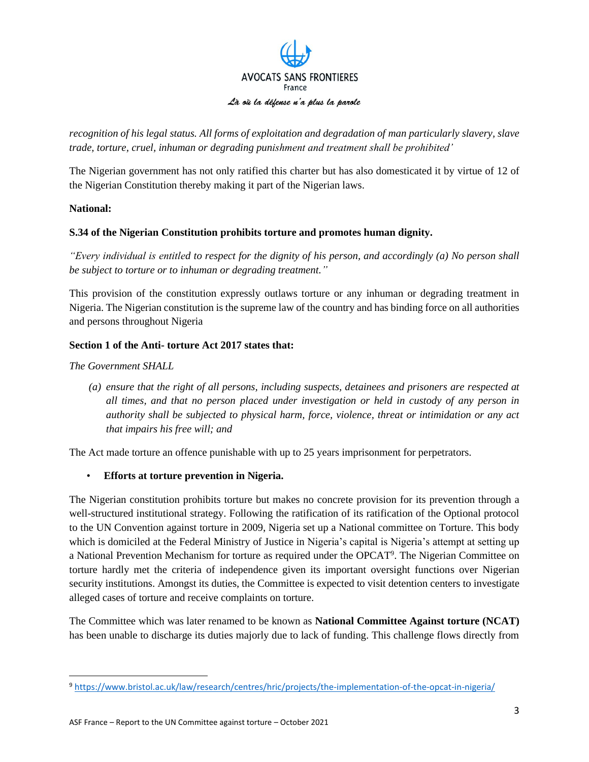

*recognition of his legal status. All forms of exploitation and degradation of man particularly slavery, slave trade, torture, cruel, inhuman or degrading punishment and treatment shall be prohibited'*

The Nigerian government has not only ratified this charter but has also domesticated it by virtue of 12 of the Nigerian Constitution thereby making it part of the Nigerian laws.

## **National:**

## **S.34 of the Nigerian Constitution prohibits torture and promotes human dignity.**

*"Every individual is entitled to respect for the dignity of his person, and accordingly (a) No person shall be subject to torture or to inhuman or degrading treatment."*

This provision of the constitution expressly outlaws torture or any inhuman or degrading treatment in Nigeria. The Nigerian constitution is the supreme law of the country and has binding force on all authorities and persons throughout Nigeria

## **Section 1 of the Anti- torture Act 2017 states that:**

## *The Government SHALL*

*(a) ensure that the right of all persons, including suspects, detainees and prisoners are respected at all times, and that no person placed under investigation or held in custody of any person in authority shall be subjected to physical harm, force, violence, threat or intimidation or any act that impairs his free will; and*

The Act made torture an offence punishable with up to 25 years imprisonment for perpetrators.

• **Efforts at torture prevention in Nigeria.**

The Nigerian constitution prohibits torture but makes no concrete provision for its prevention through a well-structured institutional strategy. Following the ratification of its ratification of the Optional protocol to the UN Convention against torture in 2009, Nigeria set up a National committee on Torture. This body which is domiciled at the Federal Ministry of Justice in Nigeria's capital is Nigeria's attempt at setting up a National Prevention Mechanism for torture as required under the OPCAT<sup>9</sup>. The Nigerian Committee on torture hardly met the criteria of independence given its important oversight functions over Nigerian security institutions. Amongst its duties, the Committee is expected to visit detention centers to investigate alleged cases of torture and receive complaints on torture.

The Committee which was later renamed to be known as **National Committee Against torture (NCAT)** has been unable to discharge its duties majorly due to lack of funding. This challenge flows directly from

<sup>9</sup> <https://www.bristol.ac.uk/law/research/centres/hric/projects/the-implementation-of-the-opcat-in-nigeria/>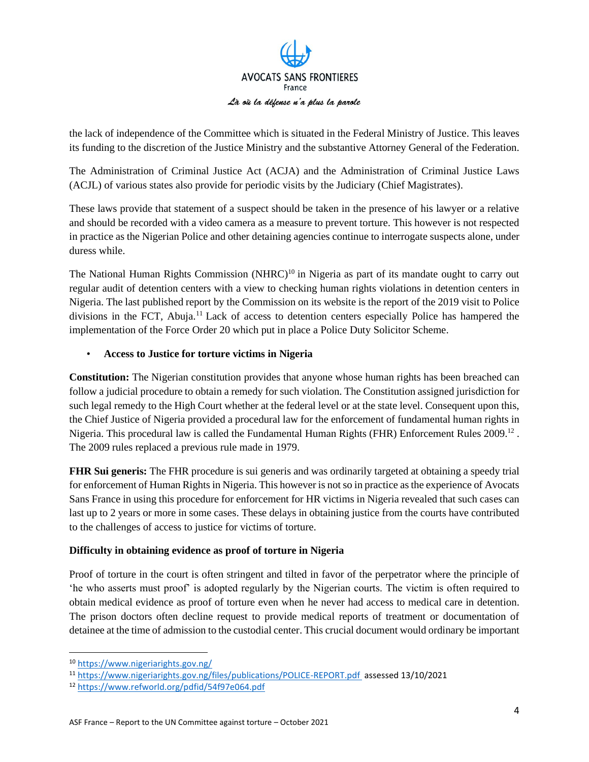

the lack of independence of the Committee which is situated in the Federal Ministry of Justice. This leaves its funding to the discretion of the Justice Ministry and the substantive Attorney General of the Federation.

The Administration of Criminal Justice Act (ACJA) and the Administration of Criminal Justice Laws (ACJL) of various states also provide for periodic visits by the Judiciary (Chief Magistrates).

These laws provide that statement of a suspect should be taken in the presence of his lawyer or a relative and should be recorded with a video camera as a measure to prevent torture. This however is not respected in practice as the Nigerian Police and other detaining agencies continue to interrogate suspects alone, under duress while.

The National Human Rights Commission (NHRC)<sup>10</sup> in Nigeria as part of its mandate ought to carry out regular audit of detention centers with a view to checking human rights violations in detention centers in Nigeria. The last published report by the Commission on its website is the report of the 2019 visit to Police divisions in the FCT, Abuja.<sup>11</sup> Lack of access to detention centers especially Police has hampered the implementation of the Force Order 20 which put in place a Police Duty Solicitor Scheme.

## • **Access to Justice for torture victims in Nigeria**

**Constitution:** The Nigerian constitution provides that anyone whose human rights has been breached can follow a judicial procedure to obtain a remedy for such violation. The Constitution assigned jurisdiction for such legal remedy to the High Court whether at the federal level or at the state level. Consequent upon this, the Chief Justice of Nigeria provided a procedural law for the enforcement of fundamental human rights in Nigeria. This procedural law is called the Fundamental Human Rights (FHR) Enforcement Rules 2009.<sup>12</sup>. The 2009 rules replaced a previous rule made in 1979.

**FHR Sui generis:** The FHR procedure is sui generis and was ordinarily targeted at obtaining a speedy trial for enforcement of Human Rights in Nigeria. This however is not so in practice as the experience of Avocats Sans France in using this procedure for enforcement for HR victims in Nigeria revealed that such cases can last up to 2 years or more in some cases. These delays in obtaining justice from the courts have contributed to the challenges of access to justice for victims of torture.

# **Difficulty in obtaining evidence as proof of torture in Nigeria**

Proof of torture in the court is often stringent and tilted in favor of the perpetrator where the principle of 'he who asserts must proof' is adopted regularly by the Nigerian courts. The victim is often required to obtain medical evidence as proof of torture even when he never had access to medical care in detention. The prison doctors often decline request to provide medical reports of treatment or documentation of detainee at the time of admission to the custodial center. This crucial document would ordinary be important

<sup>10</sup> <https://www.nigeriarights.gov.ng/>

<sup>11</sup> <https://www.nigeriarights.gov.ng/files/publications/POLICE-REPORT.pdf> assessed 13/10/2021

<sup>12</sup> <https://www.refworld.org/pdfid/54f97e064.pdf>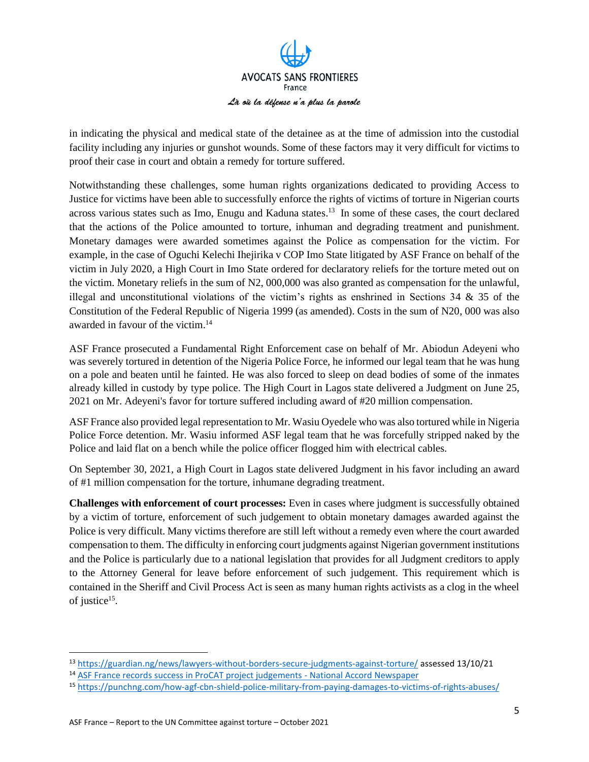

in indicating the physical and medical state of the detainee as at the time of admission into the custodial facility including any injuries or gunshot wounds. Some of these factors may it very difficult for victims to proof their case in court and obtain a remedy for torture suffered.

Notwithstanding these challenges, some human rights organizations dedicated to providing Access to Justice for victims have been able to successfully enforce the rights of victims of torture in Nigerian courts across various states such as Imo, Enugu and Kaduna states.<sup>13</sup> In some of these cases, the court declared that the actions of the Police amounted to torture, inhuman and degrading treatment and punishment. Monetary damages were awarded sometimes against the Police as compensation for the victim. For example, in the case of Oguchi Kelechi Ihejirika v COP Imo State litigated by ASF France on behalf of the victim in July 2020, a High Court in Imo State ordered for declaratory reliefs for the torture meted out on the victim. Monetary reliefs in the sum of N2, 000,000 was also granted as compensation for the unlawful, illegal and unconstitutional violations of the victim's rights as enshrined in Sections 34 & 35 of the Constitution of the Federal Republic of Nigeria 1999 (as amended). Costs in the sum of N20, 000 was also awarded in favour of the victim. 14

ASF France prosecuted a Fundamental Right Enforcement case on behalf of Mr. Abiodun Adeyeni who was severely tortured in detention of the Nigeria Police Force, he informed our legal team that he was hung on a pole and beaten until he fainted. He was also forced to sleep on dead bodies of some of the inmates already killed in custody by type police. The High Court in Lagos state delivered a Judgment on June 25, 2021 on Mr. Adeyeni's favor for torture suffered including award of #20 million compensation.

ASF France also provided legal representation to Mr. Wasiu Oyedele who was also tortured while in Nigeria Police Force detention. Mr. Wasiu informed ASF legal team that he was forcefully stripped naked by the Police and laid flat on a bench while the police officer flogged him with electrical cables.

On September 30, 2021, a High Court in Lagos state delivered Judgment in his favor including an award of #1 million compensation for the torture, inhumane degrading treatment.

**Challenges with enforcement of court processes:** Even in cases where judgment is successfully obtained by a victim of torture, enforcement of such judgement to obtain monetary damages awarded against the Police is very difficult. Many victims therefore are still left without a remedy even where the court awarded compensation to them. The difficulty in enforcing court judgments against Nigerian government institutions and the Police is particularly due to a national legislation that provides for all Judgment creditors to apply to the Attorney General for leave before enforcement of such judgement. This requirement which is contained in the Sheriff and Civil Process Act is seen as many human rights activists as a clog in the wheel of justice<sup>15</sup>.

<sup>13</sup> <https://guardian.ng/news/lawyers-without-borders-secure-judgments-against-torture/> assessed 13/10/21

<sup>14</sup> [ASF France records success in ProCAT project judgements -](https://www.nationalaccordnewspaper.com/asf-france-records-success-in-procat-project-judgements/) National Accord Newspaper

<sup>15</sup> <https://punchng.com/how-agf-cbn-shield-police-military-from-paying-damages-to-victims-of-rights-abuses/>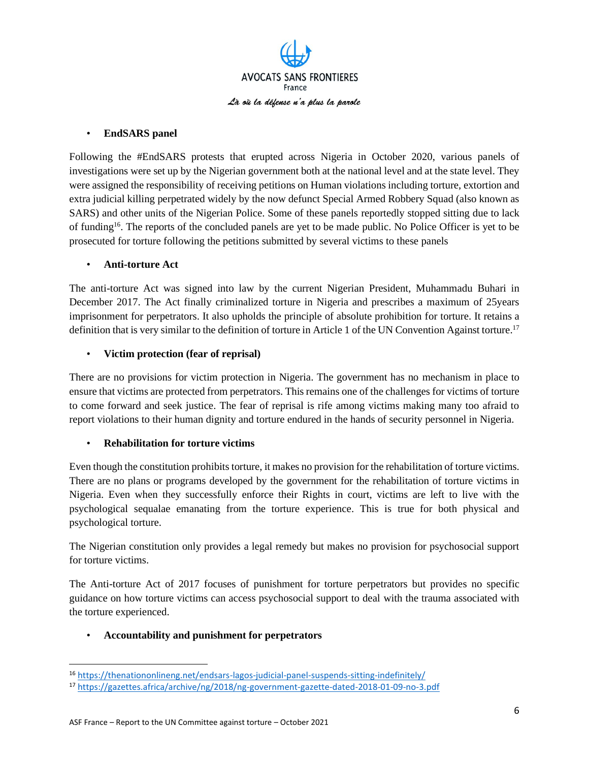

### • **EndSARS panel**

Following the #EndSARS protests that erupted across Nigeria in October 2020, various panels of investigations were set up by the Nigerian government both at the national level and at the state level. They were assigned the responsibility of receiving petitions on Human violations including torture, extortion and extra judicial killing perpetrated widely by the now defunct Special Armed Robbery Squad (also known as SARS) and other units of the Nigerian Police. Some of these panels reportedly stopped sitting due to lack of funding<sup>16</sup>. The reports of the concluded panels are yet to be made public. No Police Officer is yet to be prosecuted for torture following the petitions submitted by several victims to these panels

### • **Anti-torture Act**

The anti-torture Act was signed into law by the current Nigerian President, Muhammadu Buhari in December 2017. The Act finally criminalized torture in Nigeria and prescribes a maximum of 25years imprisonment for perpetrators. It also upholds the principle of absolute prohibition for torture. It retains a definition that is very similar to the definition of torture in Article 1 of the UN Convention Against torture.<sup>17</sup>

## • **Victim protection (fear of reprisal)**

There are no provisions for victim protection in Nigeria. The government has no mechanism in place to ensure that victims are protected from perpetrators. This remains one of the challenges for victims of torture to come forward and seek justice. The fear of reprisal is rife among victims making many too afraid to report violations to their human dignity and torture endured in the hands of security personnel in Nigeria.

## • **Rehabilitation for torture victims**

Even though the constitution prohibits torture, it makes no provision for the rehabilitation of torture victims. There are no plans or programs developed by the government for the rehabilitation of torture victims in Nigeria. Even when they successfully enforce their Rights in court, victims are left to live with the psychological sequalae emanating from the torture experience. This is true for both physical and psychological torture.

The Nigerian constitution only provides a legal remedy but makes no provision for psychosocial support for torture victims.

The Anti-torture Act of 2017 focuses of punishment for torture perpetrators but provides no specific guidance on how torture victims can access psychosocial support to deal with the trauma associated with the torture experienced.

## • **Accountability and punishment for perpetrators**

<sup>16</sup> <https://thenationonlineng.net/endsars-lagos-judicial-panel-suspends-sitting-indefinitely/>

<sup>17</sup> <https://gazettes.africa/archive/ng/2018/ng-government-gazette-dated-2018-01-09-no-3.pdf>